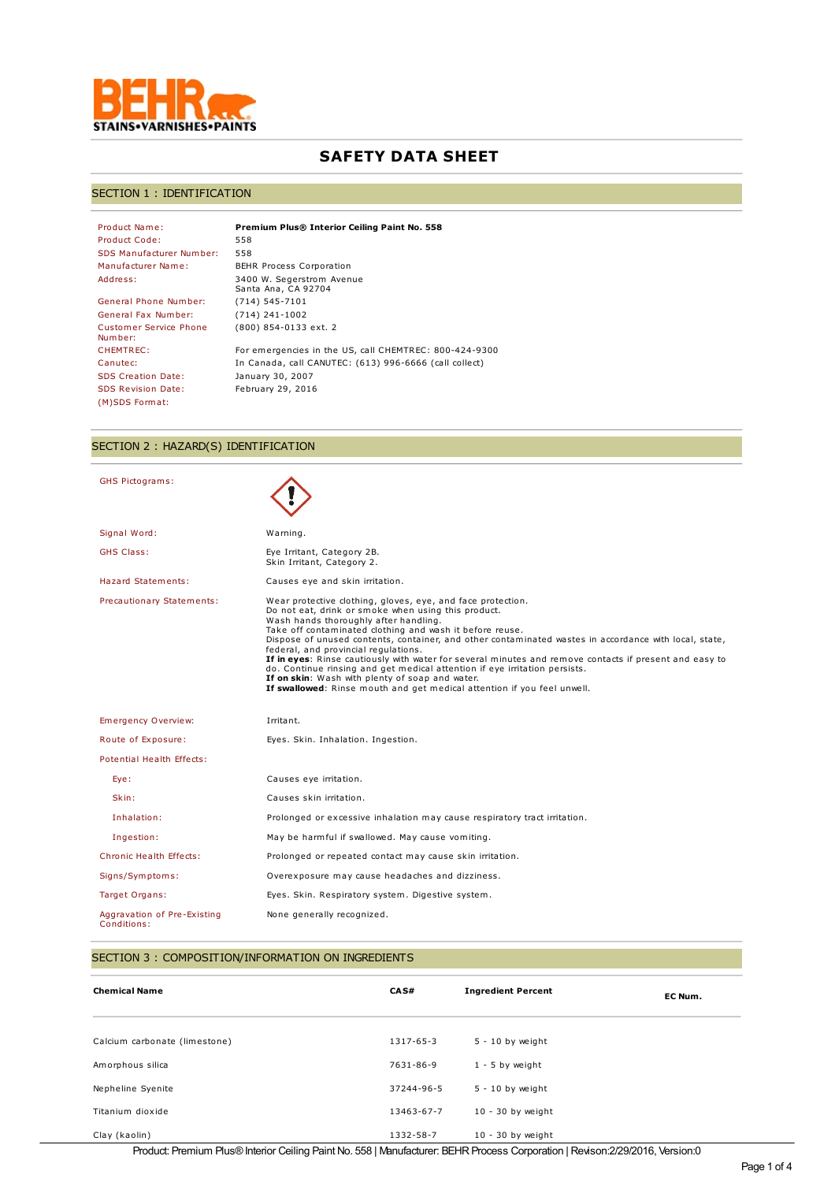

# **SAFETY DATA SHEET**

### SECTION 1 : IDENTIFICATION

| Product Name:                     | Premium Plus® Interior Ceiling Paint No. 558           |
|-----------------------------------|--------------------------------------------------------|
| Product Code:                     | 558                                                    |
| SDS Manufacturer Number:          | 558                                                    |
| Manufacturer Name:                | <b>BEHR Process Corporation</b>                        |
| Address:                          | 3400 W. Segerstrom Avenue<br>Santa Ana, CA 92704       |
| General Phone Number:             | $(714) 545 - 7101$                                     |
| General Fax Number:               | $(714)$ 241-1002                                       |
| Customer Service Phone<br>Number: | (800) 854-0133 ext. 2                                  |
| CHEMTREC:                         | For emergencies in the US, call CHEMTREC: 800-424-9300 |
| Canutec:                          | In Canada, call CANUTEC: (613) 996-6666 (call collect) |
| <b>SDS Creation Date:</b>         | January 30, 2007                                       |
| <b>SDS Revision Date:</b>         | February 29, 2016                                      |
| (M)SDS Format:                    |                                                        |

## SECTION 2 : HAZARD(S) IDENTIFICATION

| <b>GHS Pictograms:</b>         |                                                                                                                                                                                                                                                                                                                                                                                                                                                                                                                                                                                                                                                                                                |
|--------------------------------|------------------------------------------------------------------------------------------------------------------------------------------------------------------------------------------------------------------------------------------------------------------------------------------------------------------------------------------------------------------------------------------------------------------------------------------------------------------------------------------------------------------------------------------------------------------------------------------------------------------------------------------------------------------------------------------------|
| Signal Word:                   | Warning.                                                                                                                                                                                                                                                                                                                                                                                                                                                                                                                                                                                                                                                                                       |
| <b>GHS Class:</b>              | Eye Irritant, Category 2B.<br>Skin Irritant, Category 2.                                                                                                                                                                                                                                                                                                                                                                                                                                                                                                                                                                                                                                       |
| Hazard Statements:             | Causes eye and skin irritation.                                                                                                                                                                                                                                                                                                                                                                                                                                                                                                                                                                                                                                                                |
| Precautionary Statements:      | Wear protective clothing, gloves, eye, and face protection.<br>Do not eat, drink or smoke when using this product.<br>Wash hands thoroughly after handling.<br>Take off contaminated clothing and wash it before reuse.<br>Dispose of unused contents, container, and other contaminated wastes in accordance with local, state,<br>federal, and provincial requlations.<br>If in eyes: Rinse cautiously with water for several minutes and remove contacts if present and easy to<br>do. Continue rinsing and get medical attention if eye irritation persists.<br>If on skin: Wash with plenty of soap and water.<br>If swallowed: Rinse mouth and get medical attention if you feel unwell. |
| Emergency Overview:            | Irritant.                                                                                                                                                                                                                                                                                                                                                                                                                                                                                                                                                                                                                                                                                      |
| Route of Exposure:             | Eyes. Skin. Inhalation. Ingestion.                                                                                                                                                                                                                                                                                                                                                                                                                                                                                                                                                                                                                                                             |
| Potential Health Effects:      |                                                                                                                                                                                                                                                                                                                                                                                                                                                                                                                                                                                                                                                                                                |
| Eye:                           | Causes eye irritation.                                                                                                                                                                                                                                                                                                                                                                                                                                                                                                                                                                                                                                                                         |
| Skin:                          | Causes skin irritation.                                                                                                                                                                                                                                                                                                                                                                                                                                                                                                                                                                                                                                                                        |
| Inhalation:                    |                                                                                                                                                                                                                                                                                                                                                                                                                                                                                                                                                                                                                                                                                                |
|                                | Prolonged or excessive inhalation may cause respiratory tract irritation.                                                                                                                                                                                                                                                                                                                                                                                                                                                                                                                                                                                                                      |
| Ingestion:                     | May be harmful if swallowed. May cause vomiting.                                                                                                                                                                                                                                                                                                                                                                                                                                                                                                                                                                                                                                               |
| <b>Chronic Health Effects:</b> | Prolonged or repeated contact may cause skin irritation.                                                                                                                                                                                                                                                                                                                                                                                                                                                                                                                                                                                                                                       |
| Signs/Symptoms:                | Overexposure may cause headaches and dizziness.                                                                                                                                                                                                                                                                                                                                                                                                                                                                                                                                                                                                                                                |
| Target Organs:                 | Eyes. Skin. Respiratory system. Digestive system.                                                                                                                                                                                                                                                                                                                                                                                                                                                                                                                                                                                                                                              |

### SECTION 3 : COMPOSITION/INFORMATION ON INGREDIENTS

| <b>Chemical Name</b>                                                                                                         | CA S#      | <b>Ingredient Percent</b> | EC Num. |
|------------------------------------------------------------------------------------------------------------------------------|------------|---------------------------|---------|
| Calcium carbonate (limestone)                                                                                                | 1317-65-3  | $5 - 10$ by weight        |         |
| Amorphous silica                                                                                                             | 7631-86-9  | $1 - 5$ by weight         |         |
| Nepheline Syenite                                                                                                            | 37244-96-5 | $5 - 10$ by weight        |         |
| Titanium dioxide                                                                                                             | 13463-67-7 | $10 - 30$ by weight       |         |
| Clay (kaolin)                                                                                                                | 1332-58-7  | $10 - 30$ by weight       |         |
| Decelerate Decenium Dice Quite de Californi Delat Na Entre 11 Annual de manuel Decenium Company (Californi Decembri Members) |            |                           |         |

Product: Premium Plus®Interior Ceiling Paint No. 558 | Manufacturer: BEHRProcess Corporation | Revison:2/29/2016, Version:0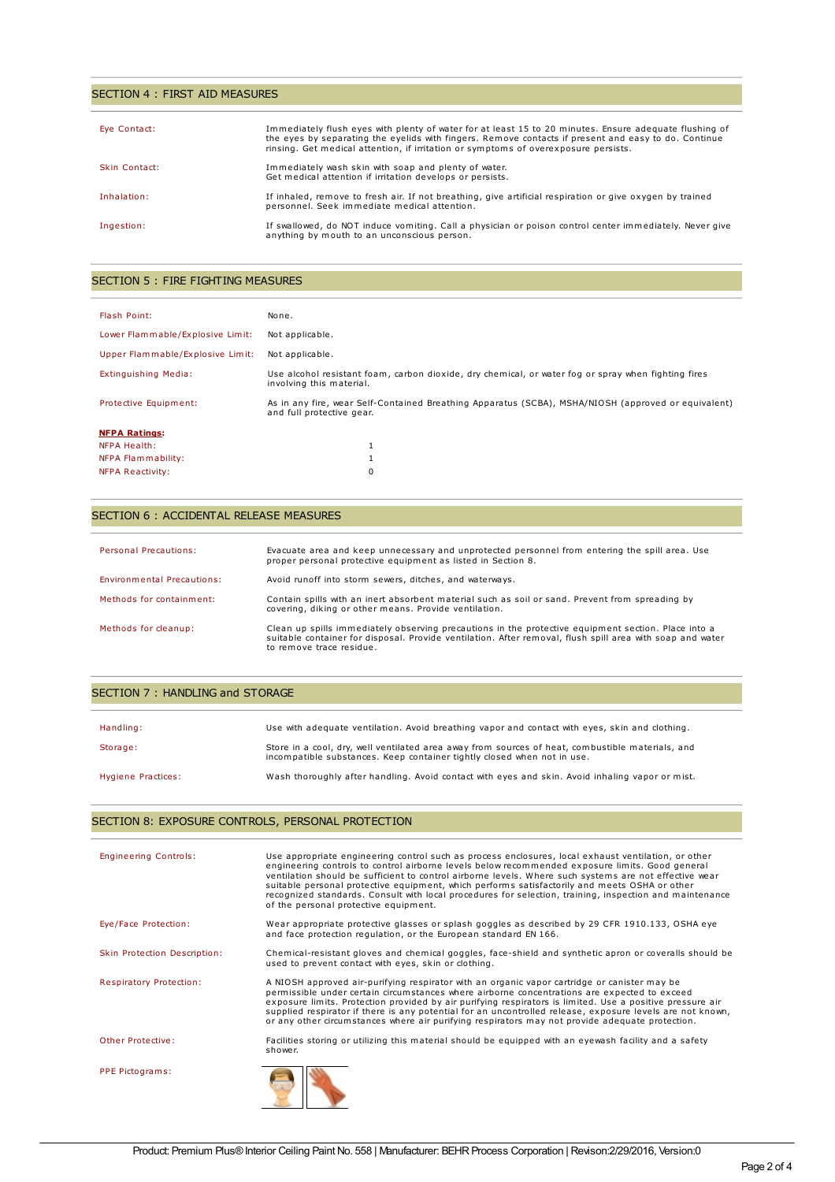### SECTION 4 : FIRST AID MEASURES

| Eye Contact:  | Immediately flush eyes with plenty of water for at least 15 to 20 minutes. Ensure adequate flushing of<br>the eyes by separating the eyelids with fingers. Remove contacts if present and easy to do. Continue<br>rinsing. Get medical attention, if irritation or symptoms of overexposure persists. |
|---------------|-------------------------------------------------------------------------------------------------------------------------------------------------------------------------------------------------------------------------------------------------------------------------------------------------------|
| Skin Contact: | Immediately wash skin with soap and plenty of water.<br>Get medical attention if irritation develops or persists.                                                                                                                                                                                     |
| Inhalation:   | If inhaled, remove to fresh air. If not breathing, give artificial respiration or give oxygen by trained<br>personnel. Seek immediate medical attention.                                                                                                                                              |
| Ingestion:    | If swallowed, do NOT induce vomiting. Call a physician or poison control center immediately. Never give<br>anything by mouth to an unconscious person.                                                                                                                                                |

### SECTION 5 : FIRE FIGHTING MEASURES

| Flash Point:                     | None.                                                                                                                            |
|----------------------------------|----------------------------------------------------------------------------------------------------------------------------------|
| Lower Flammable/Explosive Limit: | Not applicable.                                                                                                                  |
| Upper Flammable/Explosive Limit: | Not applicable.                                                                                                                  |
| Extinguishing Media:             | Use alcohol resistant foam, carbon dioxide, dry chemical, or water fog or spray when fighting fires<br>involving this material.  |
| Protective Equipment:            | As in any fire, wear Self-Contained Breathing Apparatus (SCBA), MSHA/NIOSH (approved or equivalent)<br>and full protective gear. |
| <b>NFPA Ratings:</b>             |                                                                                                                                  |
| <b>NFPA Health:</b>              |                                                                                                                                  |
| NFPA Flammability:               |                                                                                                                                  |
| <b>NFPA Reactivity:</b>          | 0                                                                                                                                |

### SECTION 6 : ACCIDENTAL RELEASE MEASURES

| Personal Precautions:      | Evacuate area and keep unnecessary and unprotected personnel from entering the spill area. Use<br>proper personal protective equipment as listed in Section 8.                                                                               |
|----------------------------|----------------------------------------------------------------------------------------------------------------------------------------------------------------------------------------------------------------------------------------------|
| Environmental Precautions: | Avoid runoff into storm sewers, ditches, and waterways.                                                                                                                                                                                      |
| Methods for containment:   | Contain spills with an inert absorbent material such as soil or sand. Prevent from spreading by<br>covering, diking or other means. Provide ventilation.                                                                                     |
| Methods for cleanup:       | Clean up spills immediately observing precautions in the protective equipment section. Place into a<br>suitable container for disposal. Provide ventilation. After removal, flush spill area with soap and water<br>to remove trace residue. |

### SECTION 7 : HANDLING and STORAGE

| Handling:          | Use with adequate ventilation. Avoid breathing vapor and contact with eyes, skin and clothing.                                                                              |
|--------------------|-----------------------------------------------------------------------------------------------------------------------------------------------------------------------------|
| Storage:           | Store in a cool, dry, well ventilated area away from sources of heat, combustible materials, and<br>incompatible substances. Keep container tightly closed when not in use. |
| Hygiene Practices: | Wash thoroughly after handling. Avoid contact with eyes and skin. Avoid inhaling vapor or mist.                                                                             |

## SECTION 8: EXPOSURE CONTROLS, PERSONAL PROTECTION

| <b>Engineering Controls:</b> | Use appropriate engineering control such as process enclosures, local exhaust ventilation, or other<br>engineering controls to control airborne levels below recommended exposure limits. Good general<br>ventilation should be sufficient to control airborne levels. Where such systems are not effective wear<br>suitable personal protective equipment, which performs satisfactorily and meets OSHA or other<br>recognized standards. Consult with local procedures for selection, training, inspection and maintenance<br>of the personal protective equipment. |  |
|------------------------------|-----------------------------------------------------------------------------------------------------------------------------------------------------------------------------------------------------------------------------------------------------------------------------------------------------------------------------------------------------------------------------------------------------------------------------------------------------------------------------------------------------------------------------------------------------------------------|--|
| Eye/Face Protection:         | Wear appropriate protective glasses or splash goggles as described by 29 CFR 1910.133, OSHA eye<br>and face protection regulation, or the European standard EN 166.                                                                                                                                                                                                                                                                                                                                                                                                   |  |
| Skin Protection Description: | Chemical-resistant gloves and chemical goggles, face-shield and synthetic apron or coveralls should be<br>used to prevent contact with eyes, skin or clothing.                                                                                                                                                                                                                                                                                                                                                                                                        |  |
| Respiratory Protection:      | A NIOSH approved air-purifying respirator with an organic vapor cartridge or canister may be<br>permissible under certain circumstances where airborne concentrations are expected to exceed<br>exposure limits. Protection provided by air purifying respirators is limited. Use a positive pressure air<br>supplied respirator if there is any potential for an uncontrolled release, exposure levels are not known,<br>or any other circumstances where air purifying respirators may not provide adequate protection.                                             |  |
| Other Protective:            | Facilities storing or utilizing this material should be equipped with an eyewash facility and a safety<br>shower.                                                                                                                                                                                                                                                                                                                                                                                                                                                     |  |
| PPE Pictograms:              |                                                                                                                                                                                                                                                                                                                                                                                                                                                                                                                                                                       |  |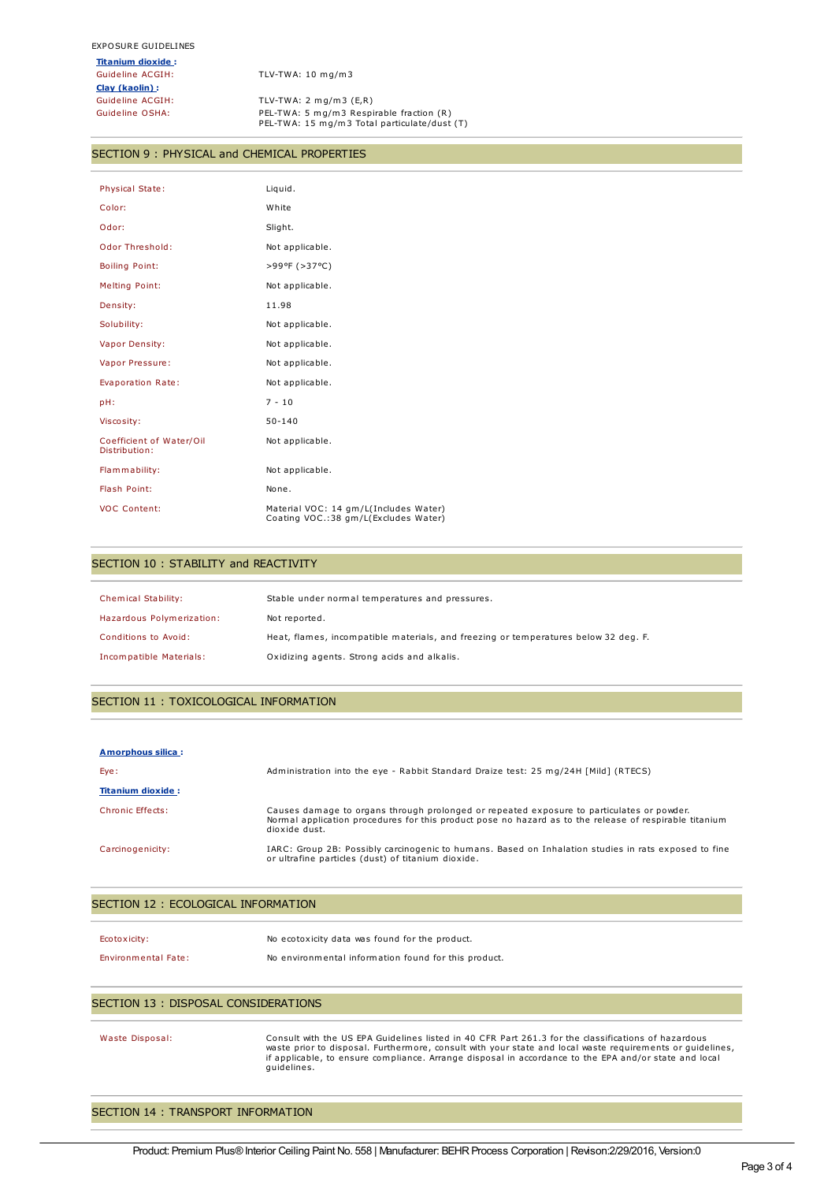**Titanium dioxide :** Guideline ACGIH: TLV-TWA: 10 mg/m3 **Clay (kaolin) :**

TLV-TWA: 2 mg/m3 (E,R) Guideline OSHA: PEL-TWA: 5 mg/m3 Respirable fraction (R) PEL-TWA: 15 mg/m3 Total particulate/dust (T)

#### SECTION 9 : PHYSICAL and CHEMICAL PROPERTIES

| <b>Physical State:</b>                    | Liquid.                                                                       |
|-------------------------------------------|-------------------------------------------------------------------------------|
| Color:                                    | White                                                                         |
| Odor:                                     | Slight.                                                                       |
| Odor Threshold:                           | Not applicable.                                                               |
| <b>Boiling Point:</b>                     | >99ºF (>37°C)                                                                 |
| <b>Melting Point:</b>                     | Not applicable.                                                               |
| Density:                                  | 11.98                                                                         |
| Solubility:                               | Not applicable.                                                               |
| Vapor Density:                            | Not applicable.                                                               |
| Vapor Pressure:                           | Not applicable.                                                               |
| Evaporation Rate:                         | Not applicable.                                                               |
| pH:                                       | $7 - 10$                                                                      |
| Viscosity:                                | $50 - 140$                                                                    |
| Coefficient of Water/Oil<br>Distribution: | Not applicable.                                                               |
| Flammability:                             | Not applicable.                                                               |
| Flash Point:                              | None.                                                                         |
| <b>VOC Content:</b>                       | Material VOC: 14 gm/L(Includes Water)<br>Coating VOC.:38 gm/L(Excludes Water) |

#### SECTION 10 : STABILITY and REACTIVITY

| Chemical Stability:       | Stable under normal temperatures and pressures.                                     |
|---------------------------|-------------------------------------------------------------------------------------|
| Hazardous Polymerization: | Not reported.                                                                       |
| Conditions to Avoid:      | Heat, flames, incompatible materials, and freezing or temperatures below 32 deg. F. |
| Incompatible Materials:   | Oxidizing agents. Strong acids and alkalis.                                         |

### SECTION 11 : TOXICOLOGICAL INFORMATION

| Amorphous silica:        |                                                                                                                                                                                                                      |
|--------------------------|----------------------------------------------------------------------------------------------------------------------------------------------------------------------------------------------------------------------|
| Eye:                     | Administration into the eye - Rabbit Standard Draize test: 25 mg/24H [Mild] (RTECS)                                                                                                                                  |
| <b>Titanium dioxide:</b> |                                                                                                                                                                                                                      |
| Chronic Effects:         | Causes damage to organs through prolonged or repeated exposure to particulates or powder.<br>Normal application procedures for this product pose no hazard as to the release of respirable titanium<br>dioxide dust. |
| Carcinogenicity:         | IARC: Group 2B: Possibly carcinogenic to humans. Based on Inhalation studies in rats exposed to fine<br>or ultrafine particles (dust) of titanium dioxide.                                                           |

### SECTION 12 : ECOLOGICAL INFORMATION

| Ecotoxicity:               | No ecotoxicity data was found for the product.       |
|----------------------------|------------------------------------------------------|
| <b>Environmental Fate:</b> | No environmental information found for this product. |

#### SECTION 13 : DISPOSAL CONSIDERATIONS

Waste Disposal: Consult with the US EPA Guidelines listed in 40 CFR Part 261.3 for the classifications of hazardous waste prior to disposal. Furthermore, consult with your state and local waste requirements or guidelines, if applicable, to ensure compliance. Arrange disposal in accordance to the EPA and/or state and local guidelines.

## SECTION 14 : TRANSPORT INFORMATION